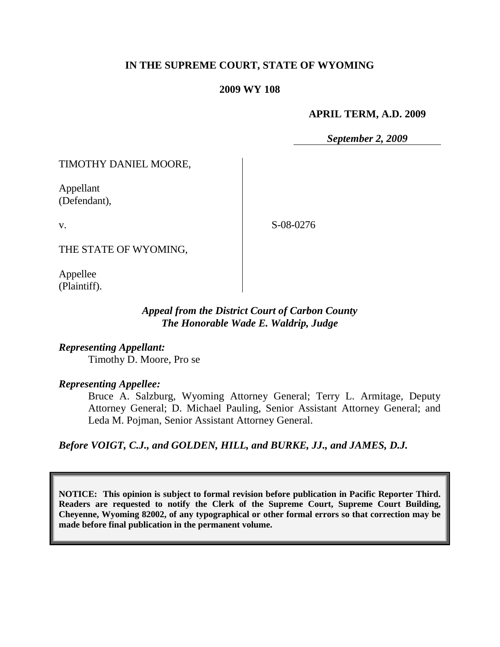## **IN THE SUPREME COURT, STATE OF WYOMING**

#### **2009 WY 108**

#### **APRIL TERM, A.D. 2009**

*September 2, 2009*

TIMOTHY DANIEL MOORE,

Appellant (Defendant),

v.

S-08-0276

THE STATE OF WYOMING,

Appellee (Plaintiff).

## *Appeal from the District Court of Carbon County The Honorable Wade E. Waldrip, Judge*

*Representing Appellant:* Timothy D. Moore, Pro se

#### *Representing Appellee:*

Bruce A. Salzburg, Wyoming Attorney General; Terry L. Armitage, Deputy Attorney General; D. Michael Pauling, Senior Assistant Attorney General; and Leda M. Pojman, Senior Assistant Attorney General.

*Before VOIGT, C.J., and GOLDEN, HILL, and BURKE, JJ., and JAMES, D.J.*

**NOTICE: This opinion is subject to formal revision before publication in Pacific Reporter Third. Readers are requested to notify the Clerk of the Supreme Court, Supreme Court Building, Cheyenne, Wyoming 82002, of any typographical or other formal errors so that correction may be made before final publication in the permanent volume.**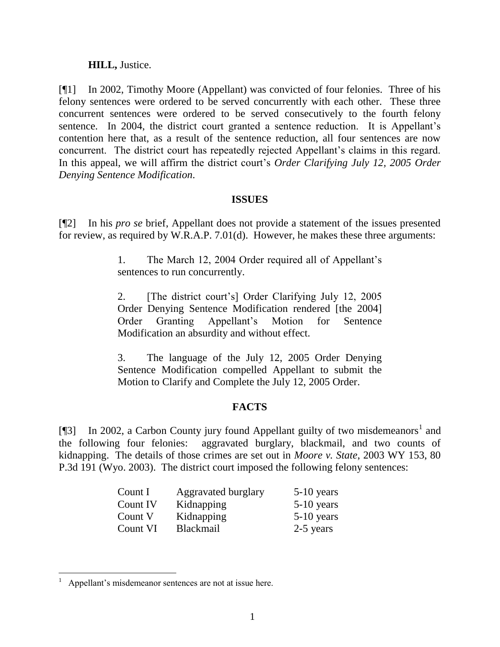## **HILL,** Justice.

[¶1] In 2002, Timothy Moore (Appellant) was convicted of four felonies. Three of his felony sentences were ordered to be served concurrently with each other. These three concurrent sentences were ordered to be served consecutively to the fourth felony sentence. In 2004, the district court granted a sentence reduction. It is Appellant's contention here that, as a result of the sentence reduction, all four sentences are now concurrent. The district court has repeatedly rejected Appellant's claims in this regard. In this appeal, we will affirm the district court's *Order Clarifying July 12, 2005 Order Denying Sentence Modification*.

## **ISSUES**

[¶2] In his *pro se* brief, Appellant does not provide a statement of the issues presented for review, as required by W.R.A.P. 7.01(d). However, he makes these three arguments:

> 1. The March 12, 2004 Order required all of Appellant"s sentences to run concurrently.

> 2. [The district court"s] Order Clarifying July 12, 2005 Order Denying Sentence Modification rendered [the 2004] Order Granting Appellant"s Motion for Sentence Modification an absurdity and without effect.

> 3. The language of the July 12, 2005 Order Denying Sentence Modification compelled Appellant to submit the Motion to Clarify and Complete the July 12, 2005 Order.

# **FACTS**

[¶3] In 2002, a Carbon County jury found Appellant guilty of two misdemeanors<sup>1</sup> and the following four felonies: aggravated burglary, blackmail, and two counts of kidnapping. The details of those crimes are set out in *Moore v. State*, 2003 WY 153, 80 P.3d 191 (Wyo. 2003). The district court imposed the following felony sentences:

| Count I  | Aggravated burglary | $5-10$ years |
|----------|---------------------|--------------|
| Count IV | Kidnapping          | $5-10$ years |
| Count V  | Kidnapping          | $5-10$ years |
| Count VI | <b>Blackmail</b>    | 2-5 years    |

<sup>1</sup> Appellant's misdemeanor sentences are not at issue here.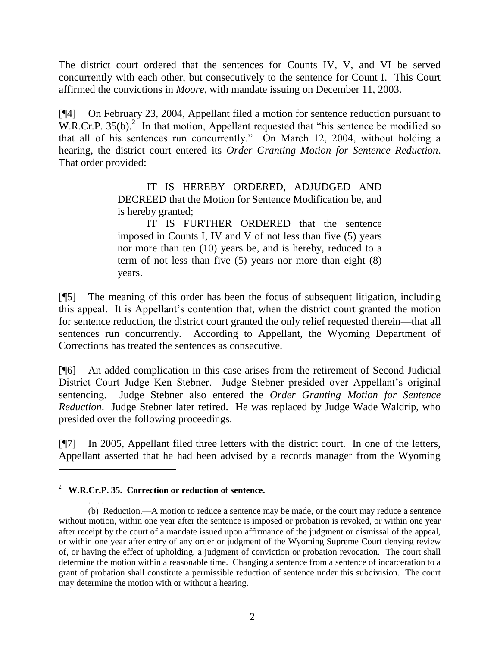The district court ordered that the sentences for Counts IV, V, and VI be served concurrently with each other, but consecutively to the sentence for Count I. This Court affirmed the convictions in *Moore*, with mandate issuing on December 11, 2003.

[¶4] On February 23, 2004, Appellant filed a motion for sentence reduction pursuant to  $W.R.Cr.P.$  35(b).<sup>2</sup> In that motion, Appellant requested that "his sentence be modified so that all of his sentences run concurrently." On March 12, 2004, without holding a hearing, the district court entered its *Order Granting Motion for Sentence Reduction*. That order provided:

> IT IS HEREBY ORDERED, ADJUDGED AND DECREED that the Motion for Sentence Modification be, and is hereby granted;

> IT IS FURTHER ORDERED that the sentence imposed in Counts I, IV and V of not less than five (5) years nor more than ten (10) years be, and is hereby, reduced to a term of not less than five (5) years nor more than eight (8) years.

[¶5] The meaning of this order has been the focus of subsequent litigation, including this appeal. It is Appellant"s contention that, when the district court granted the motion for sentence reduction, the district court granted the only relief requested therein—that all sentences run concurrently. According to Appellant, the Wyoming Department of Corrections has treated the sentences as consecutive.

[¶6] An added complication in this case arises from the retirement of Second Judicial District Court Judge Ken Stebner. Judge Stebner presided over Appellant"s original sentencing. Judge Stebner also entered the *Order Granting Motion for Sentence Reduction*. Judge Stebner later retired. He was replaced by Judge Wade Waldrip, who presided over the following proceedings.

[¶7] In 2005, Appellant filed three letters with the district court. In one of the letters, Appellant asserted that he had been advised by a records manager from the Wyoming

<sup>2</sup> **W.R.Cr.P. 35. Correction or reduction of sentence.**

<sup>. . . .</sup> (b) Reduction.—A motion to reduce a sentence may be made, or the court may reduce a sentence without motion, within one year after the sentence is imposed or probation is revoked, or within one year after receipt by the court of a mandate issued upon affirmance of the judgment or dismissal of the appeal, or within one year after entry of any order or judgment of the Wyoming Supreme Court denying review of, or having the effect of upholding, a judgment of conviction or probation revocation. The court shall determine the motion within a reasonable time. Changing a sentence from a sentence of incarceration to a grant of probation shall constitute a permissible reduction of sentence under this subdivision. The court may determine the motion with or without a hearing.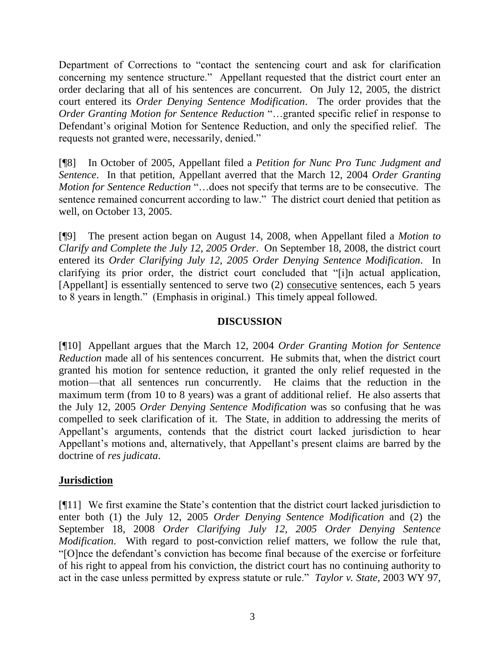Department of Corrections to "contact the sentencing court and ask for clarification concerning my sentence structure." Appellant requested that the district court enter an order declaring that all of his sentences are concurrent. On July 12, 2005, the district court entered its *Order Denying Sentence Modification*. The order provides that the *Order Granting Motion for Sentence Reduction* "…granted specific relief in response to Defendant's original Motion for Sentence Reduction, and only the specified relief. The requests not granted were, necessarily, denied."

[¶8] In October of 2005, Appellant filed a *Petition for Nunc Pro Tunc Judgment and Sentence*. In that petition, Appellant averred that the March 12, 2004 *Order Granting Motion for Sentence Reduction* "…does not specify that terms are to be consecutive. The sentence remained concurrent according to law." The district court denied that petition as well, on October 13, 2005.

[¶9] The present action began on August 14, 2008, when Appellant filed a *Motion to Clarify and Complete the July 12, 2005 Order*. On September 18, 2008, the district court entered its *Order Clarifying July 12, 2005 Order Denying Sentence Modification*. In clarifying its prior order, the district court concluded that "[i]n actual application, [Appellant] is essentially sentenced to serve two (2) consecutive sentences, each 5 years to 8 years in length." (Emphasis in original.) This timely appeal followed.

# **DISCUSSION**

[¶10] Appellant argues that the March 12, 2004 *Order Granting Motion for Sentence Reduction* made all of his sentences concurrent. He submits that, when the district court granted his motion for sentence reduction, it granted the only relief requested in the motion—that all sentences run concurrently. He claims that the reduction in the maximum term (from 10 to 8 years) was a grant of additional relief. He also asserts that the July 12, 2005 *Order Denying Sentence Modification* was so confusing that he was compelled to seek clarification of it. The State, in addition to addressing the merits of Appellant's arguments, contends that the district court lacked jurisdiction to hear Appellant's motions and, alternatively, that Appellant's present claims are barred by the doctrine of *res judicata*.

# **Jurisdiction**

[¶11] We first examine the State"s contention that the district court lacked jurisdiction to enter both (1) the July 12, 2005 *Order Denying Sentence Modification* and (2) the September 18, 2008 *Order Clarifying July 12, 2005 Order Denying Sentence Modification*. With regard to post-conviction relief matters, we follow the rule that, "[O]nce the defendant"s conviction has become final because of the exercise or forfeiture of his right to appeal from his conviction, the district court has no continuing authority to act in the case unless permitted by express statute or rule." *Taylor v. State*, 2003 WY 97,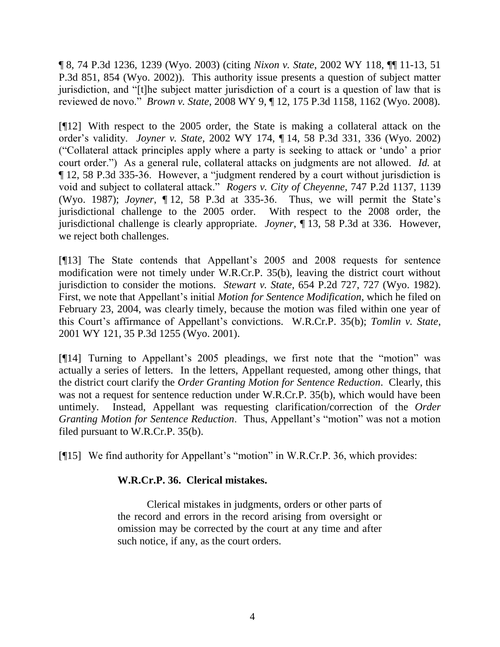¶ 8, 74 P.3d 1236, 1239 (Wyo. 2003) (citing *Nixon v. State*, 2002 WY 118, ¶¶ 11-13, 51 P.3d 851, 854 (Wyo. 2002)). This authority issue presents a question of subject matter jurisdiction, and "[t]he subject matter jurisdiction of a court is a question of law that is reviewed de novo." *Brown v. State*, 2008 WY 9, ¶ 12, 175 P.3d 1158, 1162 (Wyo. 2008).

[¶12] With respect to the 2005 order, the State is making a collateral attack on the order"s validity. *Joyner v. State*, 2002 WY 174, ¶ 14, 58 P.3d 331, 336 (Wyo. 2002) ("Collateral attack principles apply where a party is seeking to attack or "undo" a prior court order.") As a general rule, collateral attacks on judgments are not allowed. *Id.* at ¶ 12, 58 P.3d 335-36. However, a "judgment rendered by a court without jurisdiction is void and subject to collateral attack." *Rogers v. City of Cheyenne*, 747 P.2d 1137, 1139 (Wyo. 1987); *Joyner*, ¶ 12, 58 P.3d at 335-36. Thus, we will permit the State"s jurisdictional challenge to the 2005 order. With respect to the 2008 order, the jurisdictional challenge is clearly appropriate. *Joyner*, ¶ 13, 58 P.3d at 336. However, we reject both challenges.

[¶13] The State contends that Appellant"s 2005 and 2008 requests for sentence modification were not timely under W.R.Cr.P. 35(b), leaving the district court without jurisdiction to consider the motions. *Stewart v. State*, 654 P.2d 727, 727 (Wyo. 1982). First, we note that Appellant"s initial *Motion for Sentence Modification*, which he filed on February 23, 2004, was clearly timely, because the motion was filed within one year of this Court"s affirmance of Appellant"s convictions. W.R.Cr.P. 35(b); *Tomlin v. State*, 2001 WY 121, 35 P.3d 1255 (Wyo. 2001).

[¶14] Turning to Appellant's 2005 pleadings, we first note that the "motion" was actually a series of letters. In the letters, Appellant requested, among other things, that the district court clarify the *Order Granting Motion for Sentence Reduction*. Clearly, this was not a request for sentence reduction under W.R.Cr.P. 35(b), which would have been untimely. Instead, Appellant was requesting clarification/correction of the *Order Granting Motion for Sentence Reduction.* Thus, Appellant's "motion" was not a motion filed pursuant to W.R.Cr.P. 35(b).

[¶15] We find authority for Appellant's "motion" in W.R.Cr.P. 36, which provides:

# **W.R.Cr.P. 36. Clerical mistakes.**

Clerical mistakes in judgments, orders or other parts of the record and errors in the record arising from oversight or omission may be corrected by the court at any time and after such notice, if any, as the court orders.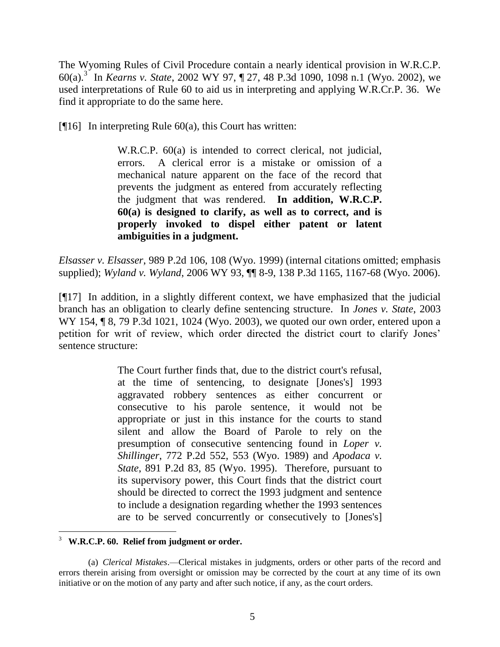The Wyoming Rules of Civil Procedure contain a nearly identical provision in W.R.C.P. 60(a).<sup>3</sup> In *Kearns v. State*, 2002 WY 97, ¶ 27, 48 P.3d 1090, 1098 n.1 (Wyo. 2002), we used interpretations of Rule 60 to aid us in interpreting and applying W.R.Cr.P. 36. We find it appropriate to do the same here.

[ $[16]$ ] In interpreting Rule 60(a), this Court has written:

W.R.C.P. 60(a) is intended to correct clerical, not judicial, errors. A clerical error is a mistake or omission of a mechanical nature apparent on the face of the record that prevents the judgment as entered from accurately reflecting the judgment that was rendered. **In addition, W.R.C.P. 60(a) is designed to clarify, as well as to correct, and is properly invoked to dispel either patent or latent ambiguities in a judgment.**

*Elsasser v. Elsasser*, 989 P.2d 106, 108 (Wyo. 1999) (internal citations omitted; emphasis supplied); *Wyland v. Wyland*, 2006 WY 93, ¶¶ 8-9, 138 P.3d 1165, 1167-68 (Wyo. 2006).

[¶17] In addition, in a slightly different context, we have emphasized that the judicial branch has an obligation to clearly define sentencing structure. In *Jones v. State*, 2003 WY 154, ¶ 8, 79 P.3d 1021, 1024 (Wyo. 2003), we quoted our own order, entered upon a petition for writ of review, which order directed the district court to clarify Jones" sentence structure:

> The Court further finds that, due to the district court's refusal, at the time of sentencing, to designate [Jones's] 1993 aggravated robbery sentences as either concurrent or consecutive to his parole sentence, it would not be appropriate or just in this instance for the courts to stand silent and allow the Board of Parole to rely on the presumption of consecutive sentencing found in *Loper v. Shillinger*, 772 P.2d 552, 553 (Wyo. 1989) and *Apodaca v. State*, 891 P.2d 83, 85 (Wyo. 1995). Therefore, pursuant to its supervisory power, this Court finds that the district court should be directed to correct the 1993 judgment and sentence to include a designation regarding whether the 1993 sentences are to be served concurrently or consecutively to [Jones's]

<sup>3</sup> **W.R.C.P. 60. Relief from judgment or order.**

<sup>(</sup>a) *Clerical Mistakes*.—Clerical mistakes in judgments, orders or other parts of the record and errors therein arising from oversight or omission may be corrected by the court at any time of its own initiative or on the motion of any party and after such notice, if any, as the court orders.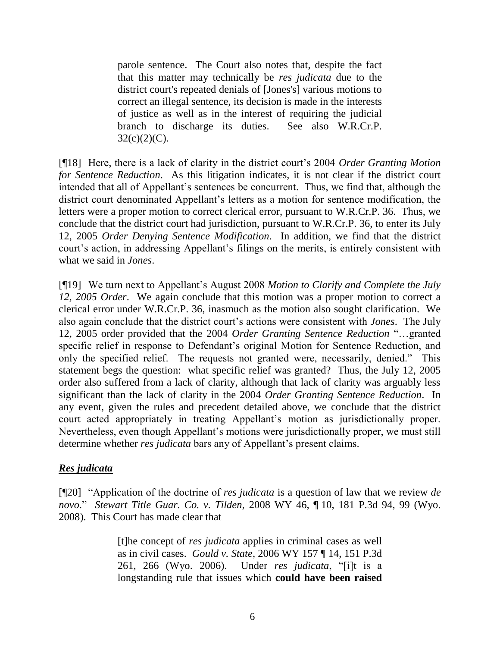parole sentence. The Court also notes that, despite the fact that this matter may technically be *res judicata* due to the district court's repeated denials of [Jones's] various motions to correct an illegal sentence, its decision is made in the interests of justice as well as in the interest of requiring the judicial branch to discharge its duties. See also W.R.Cr.P.  $32(c)(2)(C)$ .

[¶18] Here, there is a lack of clarity in the district court"s 2004 *Order Granting Motion for Sentence Reduction*. As this litigation indicates, it is not clear if the district court intended that all of Appellant's sentences be concurrent. Thus, we find that, although the district court denominated Appellant's letters as a motion for sentence modification, the letters were a proper motion to correct clerical error, pursuant to W.R.Cr.P. 36. Thus, we conclude that the district court had jurisdiction, pursuant to W.R.Cr.P. 36, to enter its July 12, 2005 *Order Denying Sentence Modification*. In addition, we find that the district court's action, in addressing Appellant's filings on the merits, is entirely consistent with what we said in *Jones*.

[¶19] We turn next to Appellant"s August 2008 *Motion to Clarify and Complete the July 12, 2005 Order*. We again conclude that this motion was a proper motion to correct a clerical error under W.R.Cr.P. 36, inasmuch as the motion also sought clarification. We also again conclude that the district court's actions were consistent with *Jones*. The July 12, 2005 order provided that the 2004 *Order Granting Sentence Reduction* "…granted specific relief in response to Defendant's original Motion for Sentence Reduction, and only the specified relief. The requests not granted were, necessarily, denied." This statement begs the question: what specific relief was granted? Thus, the July 12, 2005 order also suffered from a lack of clarity, although that lack of clarity was arguably less significant than the lack of clarity in the 2004 *Order Granting Sentence Reduction*. In any event, given the rules and precedent detailed above, we conclude that the district court acted appropriately in treating Appellant"s motion as jurisdictionally proper. Nevertheless, even though Appellant"s motions were jurisdictionally proper, we must still determine whether *res judicata* bars any of Appellant"s present claims.

#### *Res judicata*

[¶20] "Application of the doctrine of *res judicata* is a question of law that we review *de novo*." *Stewart Title Guar. Co. v. Tilden*, 2008 WY 46, ¶ 10, 181 P.3d 94, 99 (Wyo. 2008). This Court has made clear that

> [t]he concept of *res judicata* applies in criminal cases as well as in civil cases. *Gould v. State*, 2006 WY 157 ¶ 14, 151 P.3d 261, 266 (Wyo. 2006). Under *res judicata*, "[i]t is a longstanding rule that issues which **could have been raised**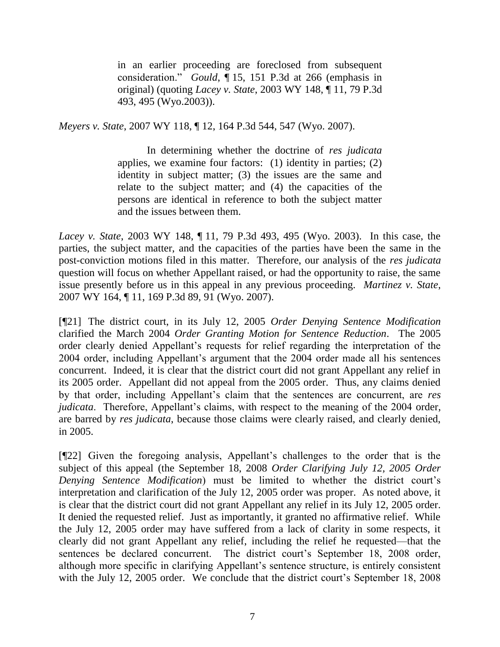in an earlier proceeding are foreclosed from subsequent consideration." *Gould*, ¶ 15, 151 P.3d at 266 (emphasis in original) (quoting *Lacey v. State*, 2003 WY 148, ¶ 11, 79 P.3d 493, 495 (Wyo.2003)).

*Meyers v. State*, 2007 WY 118, ¶ 12, 164 P.3d 544, 547 (Wyo. 2007).

In determining whether the doctrine of *res judicata* applies, we examine four factors: (1) identity in parties; (2) identity in subject matter; (3) the issues are the same and relate to the subject matter; and (4) the capacities of the persons are identical in reference to both the subject matter and the issues between them.

*Lacey v. State*, 2003 WY 148, ¶ 11, 79 P.3d 493, 495 (Wyo. 2003). In this case, the parties, the subject matter, and the capacities of the parties have been the same in the post-conviction motions filed in this matter. Therefore, our analysis of the *res judicata* question will focus on whether Appellant raised, or had the opportunity to raise, the same issue presently before us in this appeal in any previous proceeding. *Martinez v. State*, 2007 WY 164, ¶ 11, 169 P.3d 89, 91 (Wyo. 2007).

[¶21] The district court, in its July 12, 2005 *Order Denying Sentence Modification* clarified the March 2004 *Order Granting Motion for Sentence Reduction*. The 2005 order clearly denied Appellant"s requests for relief regarding the interpretation of the 2004 order, including Appellant"s argument that the 2004 order made all his sentences concurrent. Indeed, it is clear that the district court did not grant Appellant any relief in its 2005 order. Appellant did not appeal from the 2005 order. Thus, any claims denied by that order, including Appellant"s claim that the sentences are concurrent, are *res judicata*. Therefore, Appellant's claims, with respect to the meaning of the 2004 order, are barred by *res judicata*, because those claims were clearly raised, and clearly denied, in 2005.

[¶22] Given the foregoing analysis, Appellant"s challenges to the order that is the subject of this appeal (the September 18, 2008 *Order Clarifying July 12, 2005 Order Denying Sentence Modification*) must be limited to whether the district court"s interpretation and clarification of the July 12, 2005 order was proper. As noted above, it is clear that the district court did not grant Appellant any relief in its July 12, 2005 order. It denied the requested relief. Just as importantly, it granted no affirmative relief. While the July 12, 2005 order may have suffered from a lack of clarity in some respects, it clearly did not grant Appellant any relief, including the relief he requested—that the sentences be declared concurrent. The district court's September 18, 2008 order, although more specific in clarifying Appellant"s sentence structure, is entirely consistent with the July 12, 2005 order. We conclude that the district court's September 18, 2008